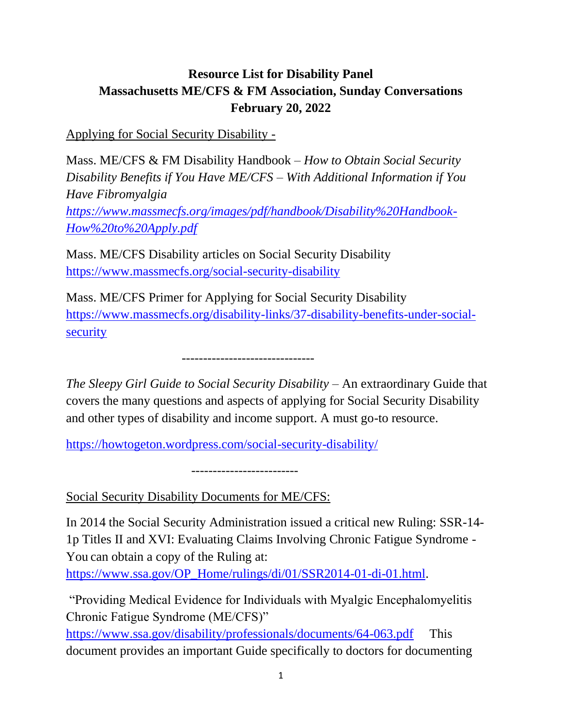## **Resource List for Disability Panel Massachusetts ME/CFS & FM Association, Sunday Conversations February 20, 2022**

Applying for Social Security Disability -

Mass. ME/CFS & FM Disability Handbook – *How to Obtain Social Security Disability Benefits if You Have ME/CFS – With Additional Information if You Have Fibromyalgia [https://www.massmecfs.org/images/pdf/handbook/Disability%20Handbook-](https://www.massmecfs.org/images/pdf/handbook/Disability%20Handbook-How%20to%20Apply.pdf)[How%20to%20Apply.pdf](https://www.massmecfs.org/images/pdf/handbook/Disability%20Handbook-How%20to%20Apply.pdf)*

Mass. ME/CFS Disability articles on Social Security Disability <https://www.massmecfs.org/social-security-disability>

Mass. ME/CFS Primer for Applying for Social Security Disability [https://www.massmecfs.org/disability-links/37-disability-benefits-under-social](https://www.massmecfs.org/disability-links/37-disability-benefits-under-social-security)[security](https://www.massmecfs.org/disability-links/37-disability-benefits-under-social-security)

-------------------------------

*The Sleepy Girl Guide to Social Security Disability – An extraordinary Guide that* covers the many questions and aspects of applying for Social Security Disability and other types of disability and income support. A must go-to resource.

<https://howtogeton.wordpress.com/social-security-disability/>

-------------------------

Social Security Disability Documents for ME/CFS:

In 2014 the Social Security Administration issued a critical new Ruling: SSR-14- 1p Titles II and XVI: Evaluating Claims Involving Chronic Fatigue Syndrome - You can obtain a copy of the Ruling at:

[https://www.ssa.gov/OP\\_Home/rulings/di/01/SSR2014-01-di-01.html.](https://www.ssa.gov/OP_Home/rulings/di/01/SSR2014-01-di-01.html)

"Providing Medical Evidence for Individuals with Myalgic Encephalomyelitis Chronic Fatigue Syndrome (ME/CFS)"

<https://www.ssa.gov/disability/professionals/documents/64-063.pdf> This document provides an important Guide specifically to doctors for documenting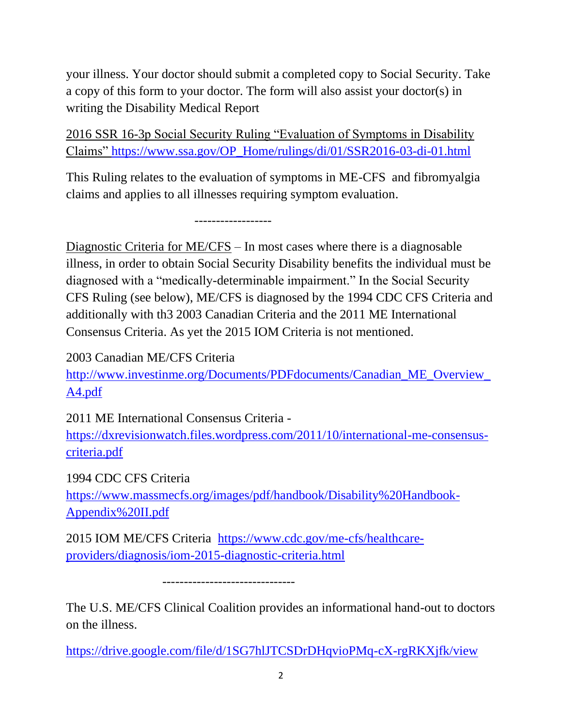your illness. Your doctor should submit a completed copy to Social Security. Take a copy of this form to your doctor. The form will also assist your doctor(s) in writing the Disability Medical Report

2016 SSR 16-3p Social Security Ruling "Evaluation of Symptoms in Disability Claims" [https://www.ssa.gov/OP\\_Home/rulings/di/01/SSR2016-03-di-01.html](https://www.ssa.gov/OP_Home/rulings/di/01/SSR2016-03-di-01.html)

This Ruling relates to the evaluation of symptoms in ME-CFS and fibromyalgia claims and applies to all illnesses requiring symptom evaluation.

------------------

Diagnostic Criteria for ME/CFS – In most cases where there is a diagnosable illness, in order to obtain Social Security Disability benefits the individual must be diagnosed with a "medically-determinable impairment." In the Social Security CFS Ruling (see below), ME/CFS is diagnosed by the 1994 CDC CFS Criteria and additionally with th3 2003 Canadian Criteria and the 2011 ME International Consensus Criteria. As yet the 2015 IOM Criteria is not mentioned.

2003 Canadian ME/CFS Criteria

[http://www.investinme.org/Documents/PDFdocuments/Canadian\\_ME\\_Overview\\_](http://www.investinme.org/Documents/PDFdocuments/Canadian_ME_Overview_A4.pdf) [A4.pdf](http://www.investinme.org/Documents/PDFdocuments/Canadian_ME_Overview_A4.pdf)

2011 ME International Consensus Criteria -

[https://dxrevisionwatch.files.wordpress.com/2011/10/international-me-consensus](https://dxrevisionwatch.files.wordpress.com/2011/10/international-me-consensus-criteria.pdf)[criteria.pdf](https://dxrevisionwatch.files.wordpress.com/2011/10/international-me-consensus-criteria.pdf)

1994 CDC CFS Criteria

[https://www.massmecfs.org/images/pdf/handbook/Disability%20Handbook-](https://www.massmecfs.org/images/pdf/handbook/Disability%20Handbook-Appendix%20II.pdf)[Appendix%20II.pdf](https://www.massmecfs.org/images/pdf/handbook/Disability%20Handbook-Appendix%20II.pdf)

2015 IOM ME/CFS Criteria [https://www.cdc.gov/me-cfs/healthcare](https://www.cdc.gov/me-cfs/healthcare-providers/diagnosis/iom-2015-diagnostic-criteria.html)[providers/diagnosis/iom-2015-diagnostic-criteria.html](https://www.cdc.gov/me-cfs/healthcare-providers/diagnosis/iom-2015-diagnostic-criteria.html)

-------------------------------

The U.S. ME/CFS Clinical Coalition provides an informational hand-out to doctors on the illness.

<https://drive.google.com/file/d/1SG7hlJTCSDrDHqvioPMq-cX-rgRKXjfk/view>